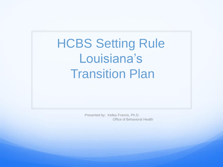HCBS Setting Rule Louisiana's **Transition Plan** 

> Presented by: Kelley Francis, Ph.D. Office of Behavioral Health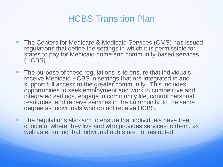- The Centers for Medicare & Medicaid Services (CMS) has issued regulations that define the settings in which it is permissible for states to pay for Medicaid home and community-based services (HCBS).
- The purpose of these regulations is to ensure that individuals receive Medicaid HCBS in settings that are integrated in and support full access to the greater community. This includes opportunities to seek employment and work in competitive and integrated settings, engage in community life, control personal resources, and receive services in the community, to the same degree as individuals who do not receive HCBS.
- The regulations also aim to ensure that individuals have free choice of where they live and who provides services to them, as well as ensuring that individual rights are not restricted.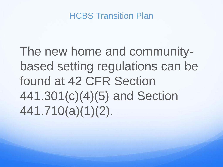The new home and communitybased setting regulations can be found at 42 CFR Section 441.301(c)(4)(5) and Section 441.710(a)(1)(2).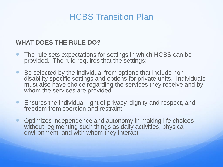#### **WHAT DOES THE RULE DO?**

- The rule sets expectations for settings in which HCBS can be provided. The rule requires that the settings:
- Be selected by the individual from options that include nondisability specific settings and options for private units. Individuals must also have choice regarding the services they receive and by whom the services are provided.
- Ensures the individual right of privacy, dignity and respect, and freedom from coercion and restraint.
- Optimizes independence and autonomy in making life choices without regimenting such things as daily activities, physical environment, and with whom they interact.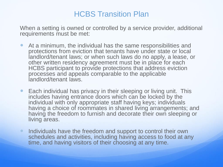When a setting is owned or controlled by a service provider, additional requirements must be met:

- At a minimum, the individual has the same responsibilities and protections from eviction that tenants have under state or local landlord/tenant laws; or when such laws do no apply, a lease, or other written residency agreement must be in place for each HCBS participant to provide protections that address eviction processes and appeals comparable to the applicable landlord/tenant laws.
- Each individual has privacy in their sleeping or living unit. This includes having entrance doors which can be locked by the individual with only appropriate staff having keys; individuals having a choice of roommates in shared living arrangements; and having the freedom to furnish and decorate their own sleeping or living areas.
- Individuals have the freedom and support to control their own schedules and activities, including having access to food at any time, and having visitors of their choosing at any time.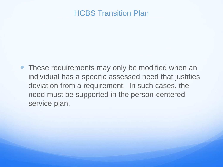• These requirements may only be modified when an individual has a specific assessed need that justifies deviation from a requirement. In such cases, the need must be supported in the person-centered service plan.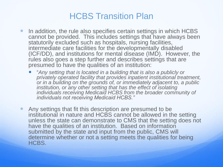- In addition, the rule also specifies certain settings in which HCBS cannot be provided. This includes settings that have always been statutorily excluded such as hospitals, nursing facilities, intermediate care facilities for the developmentally disabled (ICF/DD), and institutions for mental disease (IMD). However, the rules also goes a step further and describes settings that are presumed to have the qualities of an institution:
	- "*Any setting that is located in a building that is also a publicly or privately operated facility that provides inpatient institutional treatment, or in a building on the grounds of, or immediately adjacent to, a public institution, or any other setting that has the effect of isolating individuals receiving Medicaid HCBS from the broader community of individuals not receiving Medicaid HCBS."*
- Any settings that fit this description are presumed to be institutional in nature and HCBS cannot be allowed in the setting unless the state can demonstrate to CMS that the setting does not have the qualities of an institution. Based on information submitted by the state and input from the public, CMS will determine whether or not a setting meets the qualities for being HCBS.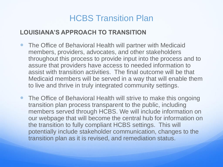#### **LOUISIANA'S APPROACH TO TRANSITION**

- The Office of Behavioral Health will partner with Medicaid members, providers, advocates, and other stakeholders throughout this process to provide input into the process and to assure that providers have access to needed information to assist with transition activities. The final outcome will be that Medicaid members will be served in a way that will enable them to live and thrive in truly integrated community settings.
- The Office of Behavioral Health will strive to make this ongoing transition plan process transparent to the public, including members served through HCBS. We will include information on our webpage that will become the central hub for information on the transition to fully compliant HCBS settings. This will potentially include stakeholder communication, changes to the transition plan as it is revised, and remediation status.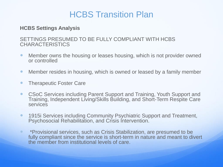#### **HCBS Settings Analysis**

#### SETTINGS PRESUMED TO BE FULLY COMPLIANT WITH HCBS **CHARACTERISTICS**

- Member owns the housing or leases housing, which is not provider owned or controlled
- Member resides in housing, which is owned or leased by a family member
- Therapeutic Foster Care
- CSoC Services including Parent Support and Training, Youth Support and Training, Independent Living/Skills Building, and Short-Term Respite Care services
- **1915i Services including Community Psychiatric Support and Treatment,** Psychosocial Rehabilitation, and Crisis Intervention.
- **\*Provisional services, such as Crisis Stabilization, are presumed to be** fully compliant since the service is short-term in nature and meant to divert the member from institutional levels of care.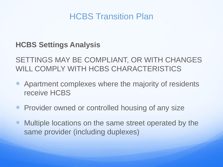## **HCBS Settings Analysis**

SETTINGS MAY BE COMPLIANT, OR WITH CHANGES WILL COMPLY WITH HCBS CHARACTERISTICS

- Apartment complexes where the majority of residents receive HCBS
- Provider owned or controlled housing of any size
- Multiple locations on the same street operated by the same provider (including duplexes)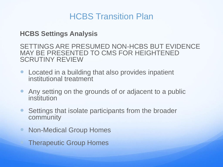### **HCBS Settings Analysis**

SETTINGS ARE PRESUMED NON-HCBS BUT EVIDENCE MAY BE PRESENTED TO CMS FOR HEIGHTENED SCRUTINY REVIEW

- Located in a building that also provides inpatient institutional treatment
- Any setting on the grounds of or adjacent to a public institution
- Settings that isolate participants from the broader community
- Non-Medical Group Homes

Therapeutic Group Homes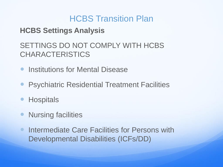## **HCBS Settings Analysis**

# SETTINGS DO NOT COMPLY WITH HCBS **CHARACTERISTICS**

- **Institutions for Mental Disease**
- **Psychiatric Residential Treatment Facilities**
- **Hospitals**
- **Nursing facilities**
- **Intermediate Care Facilities for Persons with** Developmental Disabilities (ICFs/DD)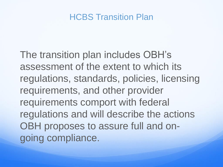The transition plan includes OBH's assessment of the extent to which its regulations, standards, policies, licensing requirements, and other provider requirements comport with federal regulations and will describe the actions OBH proposes to assure full and ongoing compliance.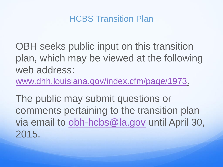

OBH seeks public input on this transition plan, which may be viewed at the following web address:

[www.dhh.louisiana.gov/index.cfm/page/1973.](http://www.dhh.louisiana.gov/index.cfm/page/1973)

The public may submit questions or comments pertaining to the transition plan via email to [obh-hcbs@la.gov](mailto:obh_hcbs@la.gov) until April 30, 2015.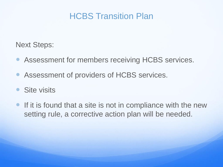Next Steps:

- Assessment for members receiving HCBS services.
- Assessment of providers of HCBS services.
- Site visits
- **If it is found that a site is not in compliance with the new** setting rule, a corrective action plan will be needed.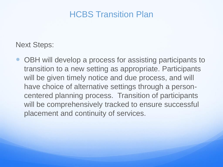Next Steps:

 OBH will develop a process for assisting participants to transition to a new setting as appropriate. Participants will be given timely notice and due process, and will have choice of alternative settings through a personcentered planning process. Transition of participants will be comprehensively tracked to ensure successful placement and continuity of services.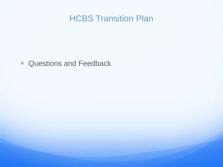• Questions and Feedback